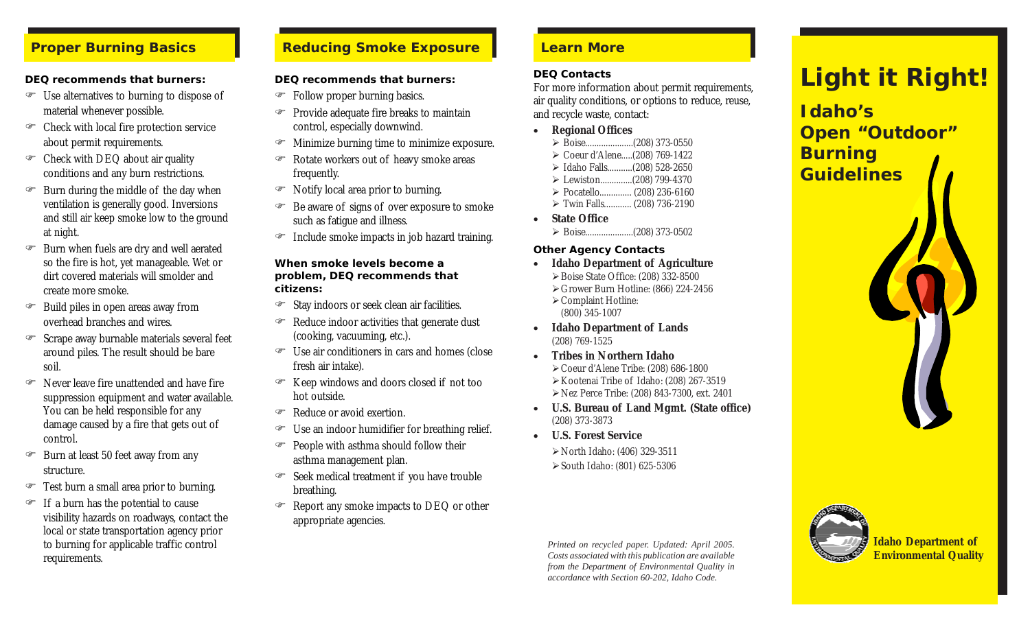#### *DEQ recommends that burners:*

- $\mathcal{F}$  Use alternatives to burning to dispose of material whenever possible.
- ) Check with local fire protection service about permit requirements.
- $\mathcal{F}$  Check with DEQ about air quality conditions and any burn restrictions.
- $\mathcal{F}$  Burn during the middle of the day when ventilation is generally good. Inversions and still air keep smoke low to the ground at night.
- ) Burn when fuels are dry and well aerated so the fire is hot, yet manageable. Wet or dirt covered materials will smolder and create more smoke.
- $\mathcal{F}$  Build piles in open areas away from overhead branches and wires.
- <sup>®</sup> Scrape away burnable materials several feet around piles. The result should be bare soil.
- ) Never leave fire unattended and have fire suppression equipment and water available. You can be held responsible for any damage caused by a fire that gets out of control.
- $\mathcal{F}$  Burn at least 50 feet away from any structure.
- Test burn a small area prior to burning.
- $\mathcal{F}$  If a burn has the potential to cause visibility hazards on roadways, contact the local or state transportation agency prior to burning for applicable traffic control requirements.

# *Proper Burning Basics Reducing Smoke Exposure*

#### *DEQ recommends that burners:*

- ) Follow proper burning basics.
- $\mathcal{F}$  Provide adequate fire breaks to maintain control, especially downwind.
- ) Minimize burning time to minimize exposure.
- ) Rotate workers out of heavy smoke areas frequently.
- Notify local area prior to burning.
- $\mathcal{F}$  Be aware of signs of over exposure to smoke such as fatigue and illness.
- $\mathcal{F}$  Include smoke impacts in job hazard training.

#### *When smoke levels become a problem, DEQ recommends that citizens:*

- ) Stay indoors or seek clean air facilities.
- $\mathcal{F}$  Reduce indoor activities that generate dust (cooking, vacuuming, etc.).
- ) Use air conditioners in cars and homes (close fresh air intake).
- $\mathcal{F}$  Keep windows and doors closed if not too hot outside.
- <sup>®</sup> Reduce or avoid exertion.
- $\mathcal{F}$  Use an indoor humidifier for breathing relief.
- $\mathcal{P}$  People with asthma should follow their asthma management plan.
- ) Seek medical treatment if you have trouble breathing.
- ) Report any smoke impacts to DEQ or other appropriate agencies.

# *Learn More*

#### *DEQ Contacts*

For more information about permit requirements, air quality conditions, or options to reduce, reuse, and recycle waste, contact:

- **Regional Offices**
	- ¾ Boise.....................(208) 373-0550
	- ¾ Coeur d'Alene.....(208) 769-1422 ¾ Idaho Falls...........(208) 528-2650
	- ¾ Lewiston..............(208) 799-4370
	- ¾ Pocatello.............. (208) 236-6160
	- ¾ Twin Falls............ (208) 736-2190
- **State Office** ¾ Boise.....................(208) 373-0502

#### *Other Agency Contacts*

- **Idaho Department of Agriculture** ¾Boise State Office: (208) 332-8500 ¾Grower Burn Hotline: (866) 224-2456 ¾Complaint Hotline: (800) 345-1007
- **Idaho Department of Lands** (208) 769-1525
- **Tribes in Northern Idaho** ¾Coeur d'Alene Tribe: (208) 686-1800 ¾Kootenai Tribe of Idaho: (208) 267-3519 ¾Nez Perce Tribe: (208) 843-7300, ext. 2401
- **U.S. Bureau of Land Mgmt. (State office)** (208) 373-3873
- **U.S. Forest Service**

¾North Idaho: (406) 329-3511 ¾South Idaho: (801) 625-5306

*Printed on recycled paper. Updated: April 2005. Costs associated with this publication are available from the Department of Environmental Quality in accordance with Section 60-202, Idaho Code.*

# *Light it Right!*

*Idaho's Open "Outdoor" Burning Guidelines*



**Idaho Department of Environmental Quality**